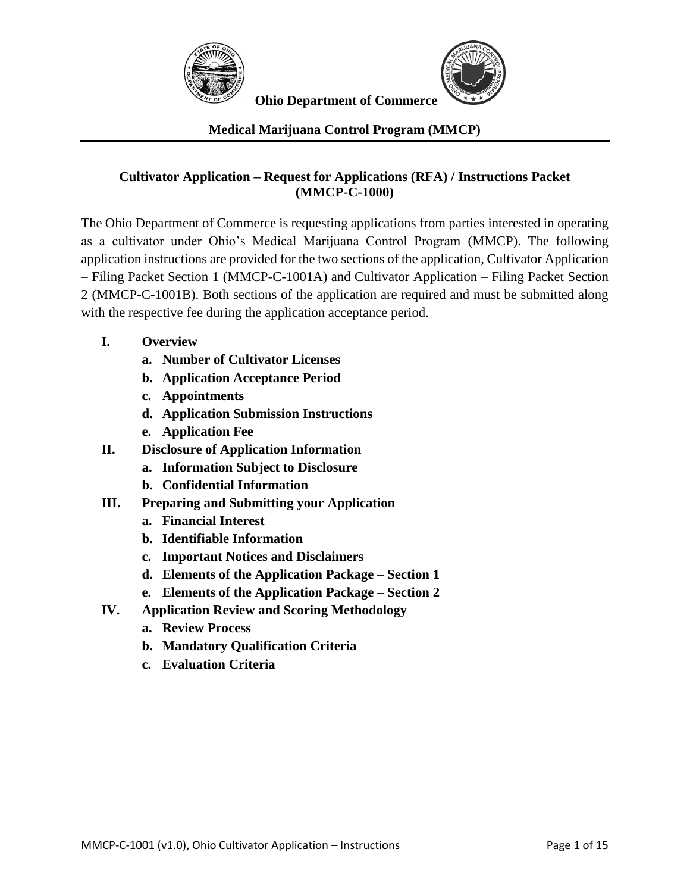



## **Medical Marijuana Control Program (MMCP)**

#### **Cultivator Application – Request for Applications (RFA) / Instructions Packet (MMCP-C-1000)**

The Ohio Department of Commerce is requesting applications from parties interested in operating as a cultivator under Ohio's Medical Marijuana Control Program (MMCP). The following application instructions are provided for the two sections of the application, Cultivator Application – Filing Packet Section 1 (MMCP-C-1001A) and Cultivator Application – Filing Packet Section 2 (MMCP-C-1001B). Both sections of the application are required and must be submitted along with the respective fee during the application acceptance period.

- **I. Overview**
	- **a. Number of Cultivator Licenses**
	- **b. Application Acceptance Period**
	- **c. Appointments**
	- **d. Application Submission Instructions**
	- **e. Application Fee**
- **II. Disclosure of Application Information**
	- **a. Information Subject to Disclosure**
	- **b. Confidential Information**
- **III. Preparing and Submitting your Application**
	- **a. Financial Interest**
	- **b. Identifiable Information**
	- **c. Important Notices and Disclaimers**
	- **d. Elements of the Application Package – Section 1**
	- **e. Elements of the Application Package – Section 2**
- **IV. Application Review and Scoring Methodology**
	- **a. Review Process**
	- **b. Mandatory Qualification Criteria**
	- **c. Evaluation Criteria**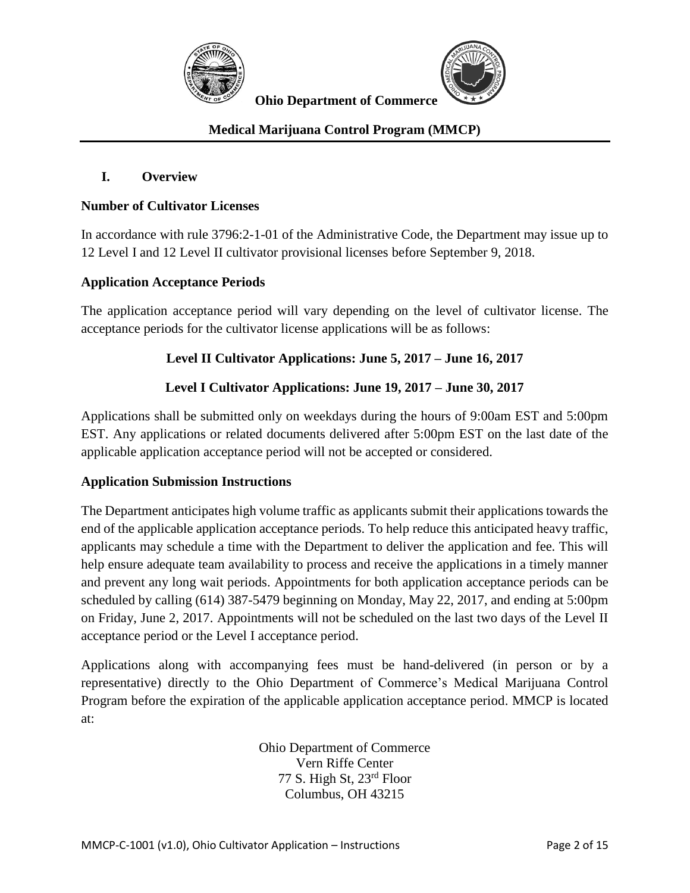



## **Medical Marijuana Control Program (MMCP)**

#### **I. Overview**

#### **Number of Cultivator Licenses**

In accordance with rule 3796:2-1-01 of the Administrative Code, the Department may issue up to 12 Level I and 12 Level II cultivator provisional licenses before September 9, 2018.

#### **Application Acceptance Periods**

The application acceptance period will vary depending on the level of cultivator license. The acceptance periods for the cultivator license applications will be as follows:

#### **Level II Cultivator Applications: June 5, 2017 – June 16, 2017**

## **Level I Cultivator Applications: June 19, 2017 – June 30, 2017**

Applications shall be submitted only on weekdays during the hours of 9:00am EST and 5:00pm EST. Any applications or related documents delivered after 5:00pm EST on the last date of the applicable application acceptance period will not be accepted or considered.

#### **Application Submission Instructions**

The Department anticipates high volume traffic as applicants submit their applications towards the end of the applicable application acceptance periods. To help reduce this anticipated heavy traffic, applicants may schedule a time with the Department to deliver the application and fee. This will help ensure adequate team availability to process and receive the applications in a timely manner and prevent any long wait periods. Appointments for both application acceptance periods can be scheduled by calling (614) 387-5479 beginning on Monday, May 22, 2017, and ending at 5:00pm on Friday, June 2, 2017. Appointments will not be scheduled on the last two days of the Level II acceptance period or the Level I acceptance period.

Applications along with accompanying fees must be hand-delivered (in person or by a representative) directly to the Ohio Department of Commerce's Medical Marijuana Control Program before the expiration of the applicable application acceptance period. MMCP is located at:

> Ohio Department of Commerce Vern Riffe Center 77 S. High St, 23rd Floor Columbus, OH 43215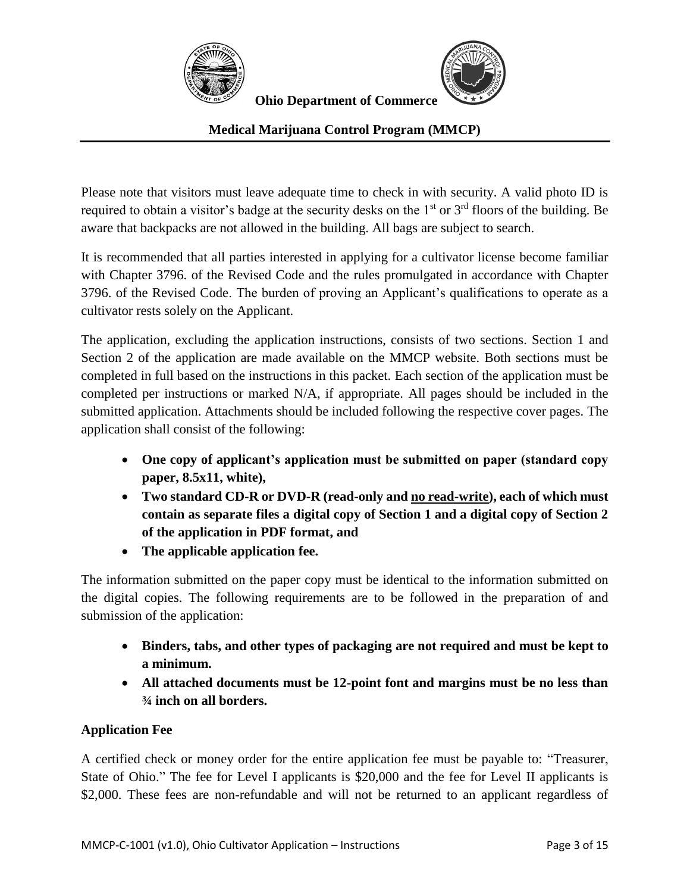



# **Medical Marijuana Control Program (MMCP)**

Please note that visitors must leave adequate time to check in with security. A valid photo ID is required to obtain a visitor's badge at the security desks on the 1<sup>st</sup> or 3<sup>rd</sup> floors of the building. Be aware that backpacks are not allowed in the building. All bags are subject to search.

It is recommended that all parties interested in applying for a cultivator license become familiar with Chapter 3796. of the Revised Code and the rules promulgated in accordance with Chapter 3796. of the Revised Code. The burden of proving an Applicant's qualifications to operate as a cultivator rests solely on the Applicant.

The application, excluding the application instructions, consists of two sections. Section 1 and Section 2 of the application are made available on the MMCP website. Both sections must be completed in full based on the instructions in this packet. Each section of the application must be completed per instructions or marked N/A, if appropriate. All pages should be included in the submitted application. Attachments should be included following the respective cover pages. The application shall consist of the following:

- **One copy of applicant's application must be submitted on paper (standard copy paper, 8.5x11, white),**
- **Two standard CD-R or DVD-R (read-only and no read-write), each of which must contain as separate files a digital copy of Section 1 and a digital copy of Section 2 of the application in PDF format, and**
- **The applicable application fee.**

The information submitted on the paper copy must be identical to the information submitted on the digital copies. The following requirements are to be followed in the preparation of and submission of the application:

- **Binders, tabs, and other types of packaging are not required and must be kept to a minimum.**
- **All attached documents must be 12-point font and margins must be no less than ¾ inch on all borders.**

# **Application Fee**

A certified check or money order for the entire application fee must be payable to: "Treasurer, State of Ohio." The fee for Level I applicants is \$20,000 and the fee for Level II applicants is \$2,000. These fees are non-refundable and will not be returned to an applicant regardless of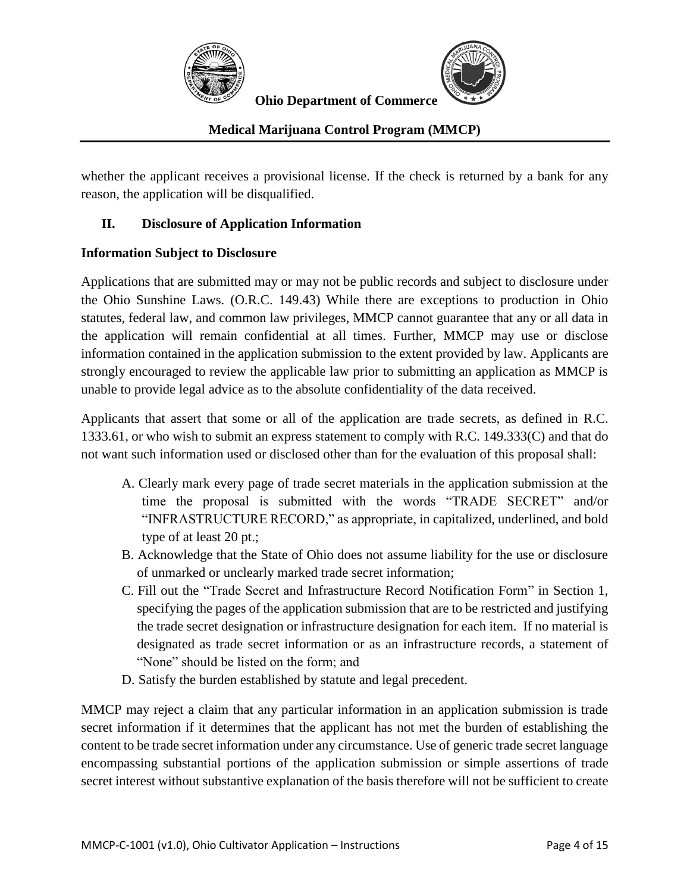



## **Medical Marijuana Control Program (MMCP)**

whether the applicant receives a provisional license. If the check is returned by a bank for any reason, the application will be disqualified.

## **II. Disclosure of Application Information**

#### **Information Subject to Disclosure**

Applications that are submitted may or may not be public records and subject to disclosure under the Ohio Sunshine Laws. (O.R.C. 149.43) While there are exceptions to production in Ohio statutes, federal law, and common law privileges, MMCP cannot guarantee that any or all data in the application will remain confidential at all times. Further, MMCP may use or disclose information contained in the application submission to the extent provided by law. Applicants are strongly encouraged to review the applicable law prior to submitting an application as MMCP is unable to provide legal advice as to the absolute confidentiality of the data received.

Applicants that assert that some or all of the application are trade secrets, as defined in R.C. 1333.61, or who wish to submit an express statement to comply with R.C. 149.333(C) and that do not want such information used or disclosed other than for the evaluation of this proposal shall:

- A. Clearly mark every page of trade secret materials in the application submission at the time the proposal is submitted with the words "TRADE SECRET" and/or "INFRASTRUCTURE RECORD," as appropriate, in capitalized, underlined, and bold type of at least 20 pt.;
- B. Acknowledge that the State of Ohio does not assume liability for the use or disclosure of unmarked or unclearly marked trade secret information;
- C. Fill out the "Trade Secret and Infrastructure Record Notification Form" in Section 1, specifying the pages of the application submission that are to be restricted and justifying the trade secret designation or infrastructure designation for each item. If no material is designated as trade secret information or as an infrastructure records, a statement of "None" should be listed on the form; and
- D. Satisfy the burden established by statute and legal precedent.

MMCP may reject a claim that any particular information in an application submission is trade secret information if it determines that the applicant has not met the burden of establishing the content to be trade secret information under any circumstance. Use of generic trade secret language encompassing substantial portions of the application submission or simple assertions of trade secret interest without substantive explanation of the basis therefore will not be sufficient to create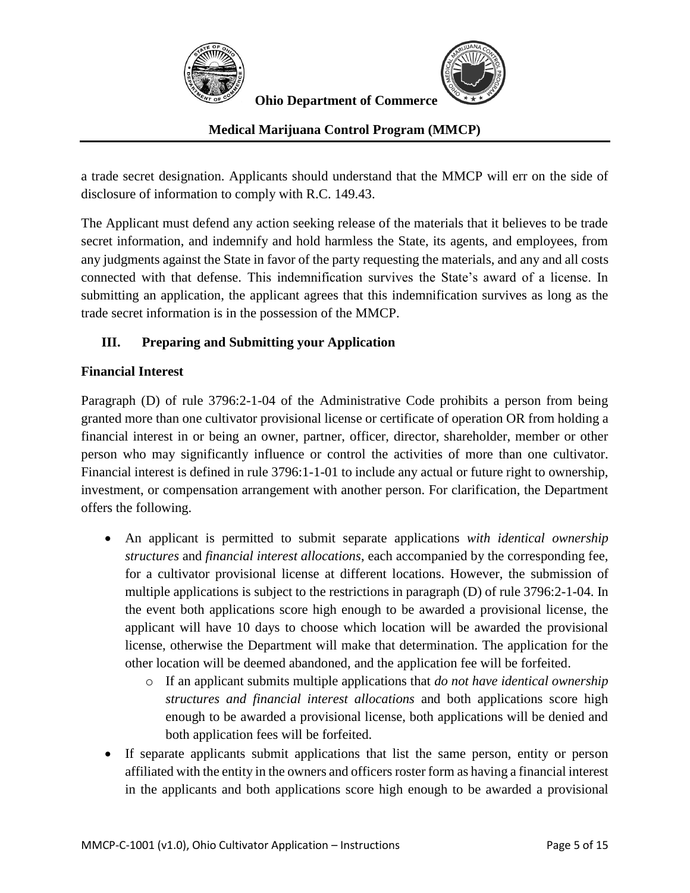



## **Medical Marijuana Control Program (MMCP)**

a trade secret designation. Applicants should understand that the MMCP will err on the side of disclosure of information to comply with R.C. 149.43.

The Applicant must defend any action seeking release of the materials that it believes to be trade secret information, and indemnify and hold harmless the State, its agents, and employees, from any judgments against the State in favor of the party requesting the materials, and any and all costs connected with that defense. This indemnification survives the State's award of a license. In submitting an application, the applicant agrees that this indemnification survives as long as the trade secret information is in the possession of the MMCP.

## **III. Preparing and Submitting your Application**

#### **Financial Interest**

Paragraph (D) of rule 3796:2-1-04 of the Administrative Code prohibits a person from being granted more than one cultivator provisional license or certificate of operation OR from holding a financial interest in or being an owner, partner, officer, director, shareholder, member or other person who may significantly influence or control the activities of more than one cultivator. Financial interest is defined in rule 3796:1-1-01 to include any actual or future right to ownership, investment, or compensation arrangement with another person. For clarification, the Department offers the following.

- An applicant is permitted to submit separate applications *with identical ownership structures* and *financial interest allocations*, each accompanied by the corresponding fee, for a cultivator provisional license at different locations. However, the submission of multiple applications is subject to the restrictions in paragraph (D) of rule 3796:2-1-04. In the event both applications score high enough to be awarded a provisional license, the applicant will have 10 days to choose which location will be awarded the provisional license, otherwise the Department will make that determination. The application for the other location will be deemed abandoned, and the application fee will be forfeited.
	- o If an applicant submits multiple applications that *do not have identical ownership structures and financial interest allocations* and both applications score high enough to be awarded a provisional license, both applications will be denied and both application fees will be forfeited.
- If separate applicants submit applications that list the same person, entity or person affiliated with the entity in the owners and officers roster form as having a financial interest in the applicants and both applications score high enough to be awarded a provisional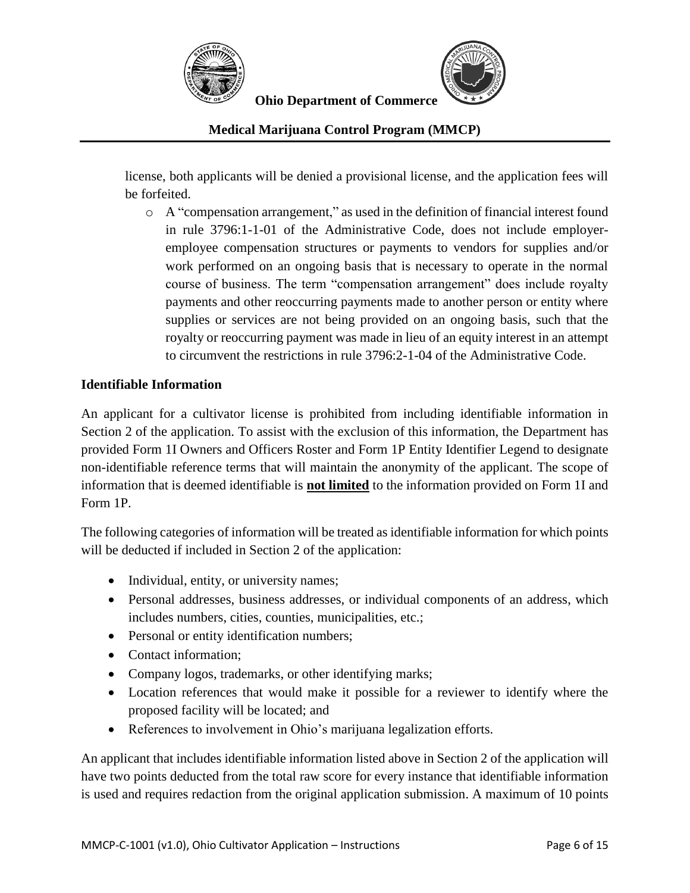



**Medical Marijuana Control Program (MMCP)**

license, both applicants will be denied a provisional license, and the application fees will be forfeited.

o A "compensation arrangement," as used in the definition of financial interest found in rule 3796:1-1-01 of the Administrative Code, does not include employeremployee compensation structures or payments to vendors for supplies and/or work performed on an ongoing basis that is necessary to operate in the normal course of business. The term "compensation arrangement" does include royalty payments and other reoccurring payments made to another person or entity where supplies or services are not being provided on an ongoing basis, such that the royalty or reoccurring payment was made in lieu of an equity interest in an attempt to circumvent the restrictions in rule 3796:2-1-04 of the Administrative Code.

#### **Identifiable Information**

An applicant for a cultivator license is prohibited from including identifiable information in Section 2 of the application. To assist with the exclusion of this information, the Department has provided Form 1I Owners and Officers Roster and Form 1P Entity Identifier Legend to designate non-identifiable reference terms that will maintain the anonymity of the applicant. The scope of information that is deemed identifiable is **not limited** to the information provided on Form 1I and Form 1P.

The following categories of information will be treated as identifiable information for which points will be deducted if included in Section 2 of the application:

- Individual, entity, or university names;
- Personal addresses, business addresses, or individual components of an address, which includes numbers, cities, counties, municipalities, etc.;
- Personal or entity identification numbers;
- Contact information;
- Company logos, trademarks, or other identifying marks;
- Location references that would make it possible for a reviewer to identify where the proposed facility will be located; and
- References to involvement in Ohio's marijuana legalization efforts.

An applicant that includes identifiable information listed above in Section 2 of the application will have two points deducted from the total raw score for every instance that identifiable information is used and requires redaction from the original application submission. A maximum of 10 points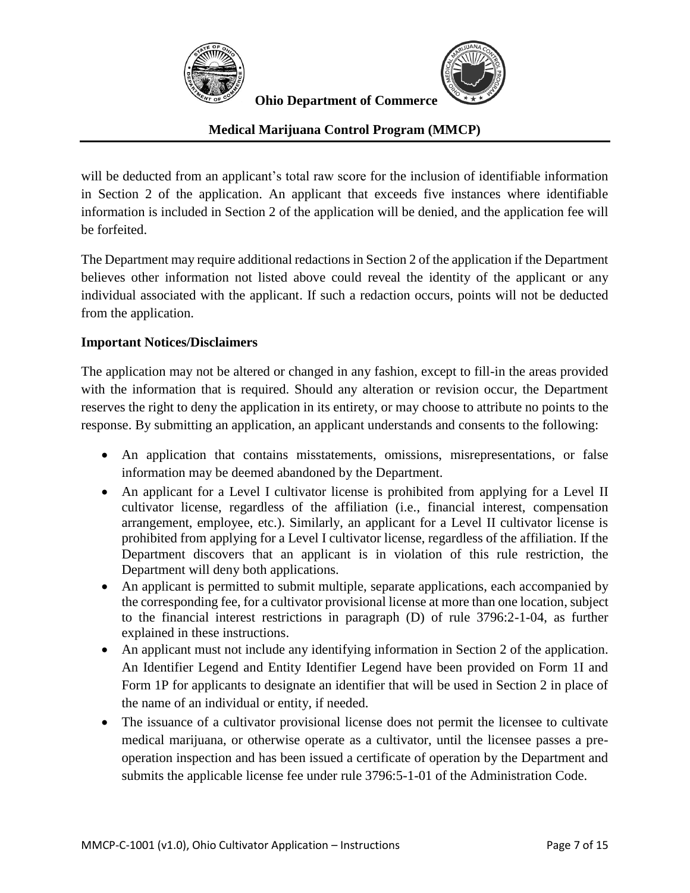



#### **Medical Marijuana Control Program (MMCP)**

will be deducted from an applicant's total raw score for the inclusion of identifiable information in Section 2 of the application. An applicant that exceeds five instances where identifiable information is included in Section 2 of the application will be denied, and the application fee will be forfeited.

The Department may require additional redactions in Section 2 of the application if the Department believes other information not listed above could reveal the identity of the applicant or any individual associated with the applicant. If such a redaction occurs, points will not be deducted from the application.

#### **Important Notices/Disclaimers**

The application may not be altered or changed in any fashion, except to fill-in the areas provided with the information that is required. Should any alteration or revision occur, the Department reserves the right to deny the application in its entirety, or may choose to attribute no points to the response. By submitting an application, an applicant understands and consents to the following:

- An application that contains misstatements, omissions, misrepresentations, or false information may be deemed abandoned by the Department.
- An applicant for a Level I cultivator license is prohibited from applying for a Level II cultivator license, regardless of the affiliation (i.e., financial interest, compensation arrangement, employee, etc.). Similarly, an applicant for a Level II cultivator license is prohibited from applying for a Level I cultivator license, regardless of the affiliation. If the Department discovers that an applicant is in violation of this rule restriction, the Department will deny both applications.
- An applicant is permitted to submit multiple, separate applications, each accompanied by the corresponding fee, for a cultivator provisional license at more than one location, subject to the financial interest restrictions in paragraph (D) of rule 3796:2-1-04, as further explained in these instructions.
- An applicant must not include any identifying information in Section 2 of the application. An Identifier Legend and Entity Identifier Legend have been provided on Form 1I and Form 1P for applicants to designate an identifier that will be used in Section 2 in place of the name of an individual or entity, if needed.
- The issuance of a cultivator provisional license does not permit the licensee to cultivate medical marijuana, or otherwise operate as a cultivator, until the licensee passes a preoperation inspection and has been issued a certificate of operation by the Department and submits the applicable license fee under rule 3796:5-1-01 of the Administration Code.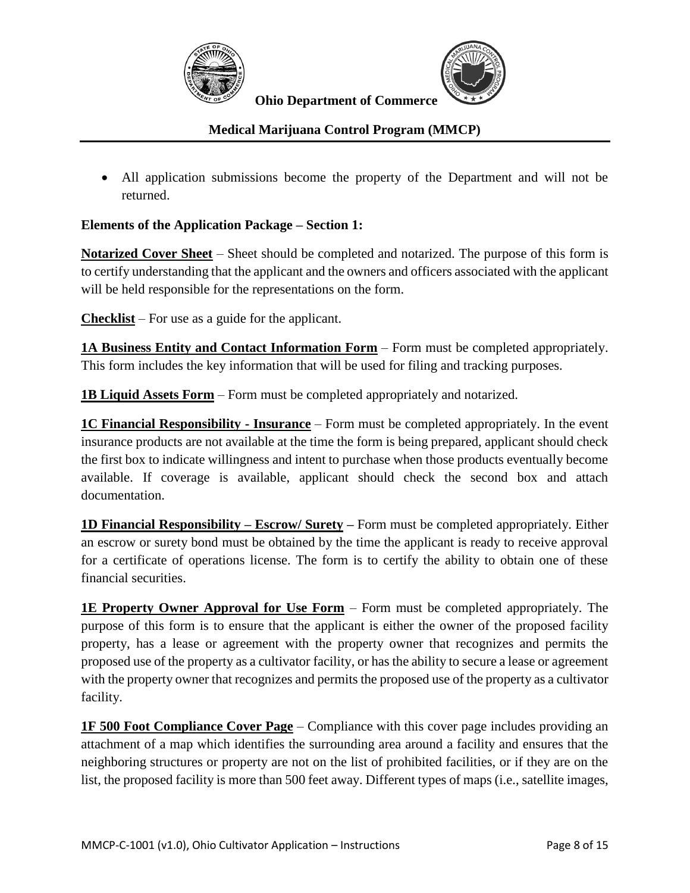



#### **Medical Marijuana Control Program (MMCP)**

 All application submissions become the property of the Department and will not be returned.

#### **Elements of the Application Package – Section 1:**

**Notarized Cover Sheet** – Sheet should be completed and notarized. The purpose of this form is to certify understanding that the applicant and the owners and officers associated with the applicant will be held responsible for the representations on the form.

**Checklist** – For use as a guide for the applicant.

**1A Business Entity and Contact Information Form** – Form must be completed appropriately. This form includes the key information that will be used for filing and tracking purposes.

**1B Liquid Assets Form** – Form must be completed appropriately and notarized.

**1C Financial Responsibility - Insurance** – Form must be completed appropriately. In the event insurance products are not available at the time the form is being prepared, applicant should check the first box to indicate willingness and intent to purchase when those products eventually become available. If coverage is available, applicant should check the second box and attach documentation.

**1D Financial Responsibility – Escrow/ Surety –** Form must be completed appropriately. Either an escrow or surety bond must be obtained by the time the applicant is ready to receive approval for a certificate of operations license. The form is to certify the ability to obtain one of these financial securities.

**1E Property Owner Approval for Use Form** – Form must be completed appropriately. The purpose of this form is to ensure that the applicant is either the owner of the proposed facility property, has a lease or agreement with the property owner that recognizes and permits the proposed use of the property as a cultivator facility, or has the ability to secure a lease or agreement with the property owner that recognizes and permits the proposed use of the property as a cultivator facility.

**1F 500 Foot Compliance Cover Page** – Compliance with this cover page includes providing an attachment of a map which identifies the surrounding area around a facility and ensures that the neighboring structures or property are not on the list of prohibited facilities, or if they are on the list, the proposed facility is more than 500 feet away. Different types of maps (i.e., satellite images,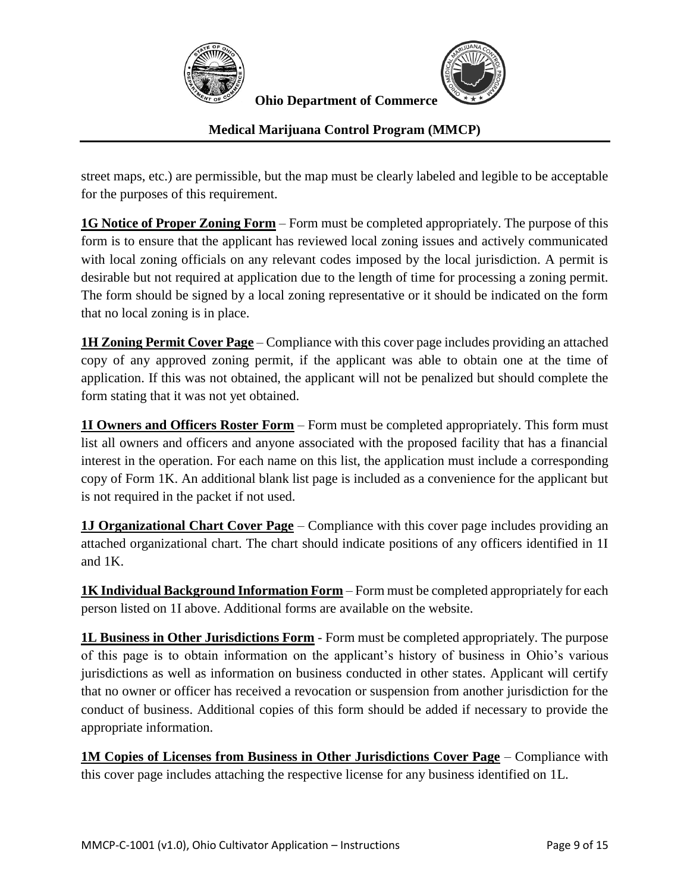



## **Medical Marijuana Control Program (MMCP)**

street maps, etc.) are permissible, but the map must be clearly labeled and legible to be acceptable for the purposes of this requirement.

**1G Notice of Proper Zoning Form** – Form must be completed appropriately. The purpose of this form is to ensure that the applicant has reviewed local zoning issues and actively communicated with local zoning officials on any relevant codes imposed by the local jurisdiction. A permit is desirable but not required at application due to the length of time for processing a zoning permit. The form should be signed by a local zoning representative or it should be indicated on the form that no local zoning is in place.

**1H Zoning Permit Cover Page** – Compliance with this cover page includes providing an attached copy of any approved zoning permit, if the applicant was able to obtain one at the time of application. If this was not obtained, the applicant will not be penalized but should complete the form stating that it was not yet obtained.

**1I Owners and Officers Roster Form** – Form must be completed appropriately. This form must list all owners and officers and anyone associated with the proposed facility that has a financial interest in the operation. For each name on this list, the application must include a corresponding copy of Form 1K. An additional blank list page is included as a convenience for the applicant but is not required in the packet if not used.

**1J Organizational Chart Cover Page** – Compliance with this cover page includes providing an attached organizational chart. The chart should indicate positions of any officers identified in 1I and 1K.

**1K Individual Background Information Form** – Form must be completed appropriately for each person listed on 1I above. Additional forms are available on the website.

**1L Business in Other Jurisdictions Form** - Form must be completed appropriately. The purpose of this page is to obtain information on the applicant's history of business in Ohio's various jurisdictions as well as information on business conducted in other states. Applicant will certify that no owner or officer has received a revocation or suspension from another jurisdiction for the conduct of business. Additional copies of this form should be added if necessary to provide the appropriate information.

**1M Copies of Licenses from Business in Other Jurisdictions Cover Page** – Compliance with this cover page includes attaching the respective license for any business identified on 1L.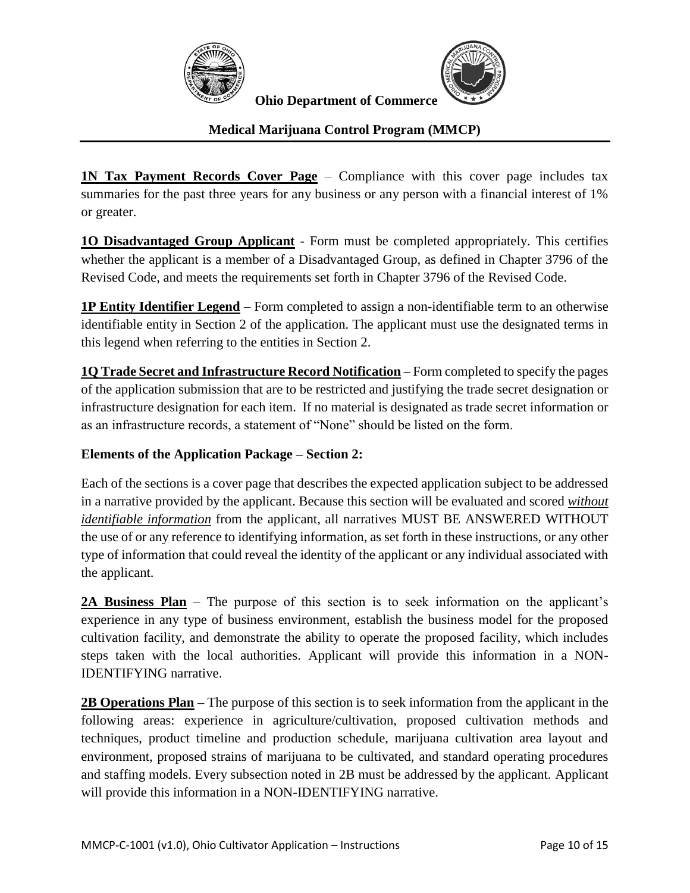



# **Medical Marijuana Control Program (MMCP)**

**1N Tax Payment Records Cover Page** – Compliance with this cover page includes tax summaries for the past three years for any business or any person with a financial interest of 1% or greater.

**1O Disadvantaged Group Applicant** - Form must be completed appropriately. This certifies whether the applicant is a member of a Disadvantaged Group, as defined in Chapter 3796 of the Revised Code, and meets the requirements set forth in Chapter 3796 of the Revised Code.

**1P Entity Identifier Legend** – Form completed to assign a non-identifiable term to an otherwise identifiable entity in Section 2 of the application. The applicant must use the designated terms in this legend when referring to the entities in Section 2.

**1Q Trade Secret and Infrastructure Record Notification** – Form completed to specify the pages of the application submission that are to be restricted and justifying the trade secret designation or infrastructure designation for each item. If no material is designated as trade secret information or as an infrastructure records, a statement of "None" should be listed on the form.

#### **Elements of the Application Package – Section 2:**

Each of the sections is a cover page that describes the expected application subject to be addressed in a narrative provided by the applicant. Because this section will be evaluated and scored *without identifiable information* from the applicant, all narratives MUST BE ANSWERED WITHOUT the use of or any reference to identifying information, as set forth in these instructions, or any other type of information that could reveal the identity of the applicant or any individual associated with the applicant.

**2A Business Plan** – The purpose of this section is to seek information on the applicant's experience in any type of business environment, establish the business model for the proposed cultivation facility, and demonstrate the ability to operate the proposed facility, which includes steps taken with the local authorities. Applicant will provide this information in a NON-IDENTIFYING narrative.

**2B Operations Plan –** The purpose of this section is to seek information from the applicant in the following areas: experience in agriculture/cultivation, proposed cultivation methods and techniques, product timeline and production schedule, marijuana cultivation area layout and environment, proposed strains of marijuana to be cultivated, and standard operating procedures and staffing models. Every subsection noted in 2B must be addressed by the applicant. Applicant will provide this information in a NON-IDENTIFYING narrative.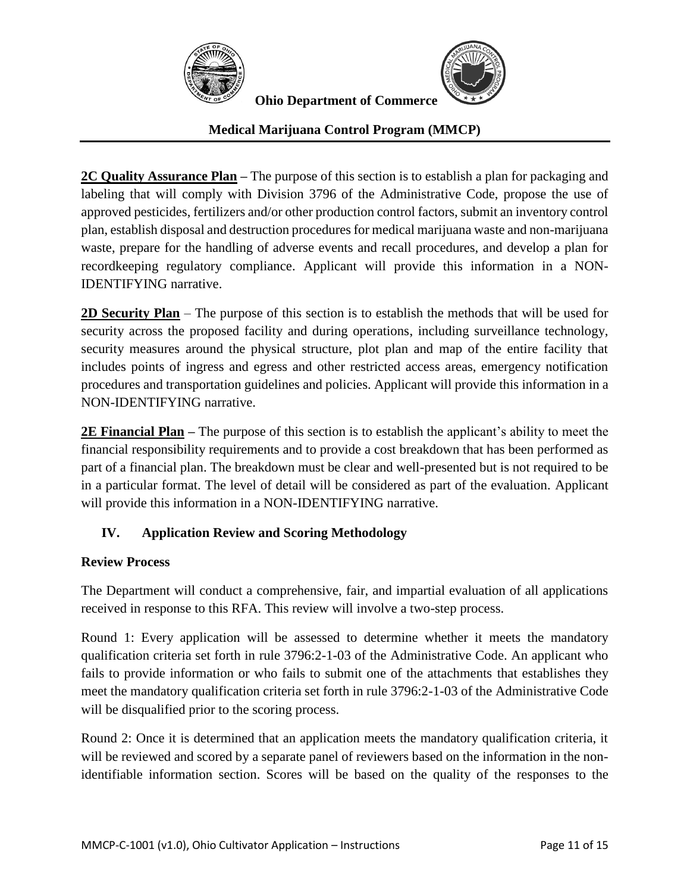



## **Medical Marijuana Control Program (MMCP)**

**2C Quality Assurance Plan –** The purpose of this section is to establish a plan for packaging and labeling that will comply with Division 3796 of the Administrative Code, propose the use of approved pesticides, fertilizers and/or other production control factors, submit an inventory control plan, establish disposal and destruction procedures for medical marijuana waste and non-marijuana waste, prepare for the handling of adverse events and recall procedures, and develop a plan for recordkeeping regulatory compliance. Applicant will provide this information in a NON-IDENTIFYING narrative.

**2D Security Plan** – The purpose of this section is to establish the methods that will be used for security across the proposed facility and during operations, including surveillance technology, security measures around the physical structure, plot plan and map of the entire facility that includes points of ingress and egress and other restricted access areas, emergency notification procedures and transportation guidelines and policies. Applicant will provide this information in a NON-IDENTIFYING narrative.

**2E Financial Plan –** The purpose of this section is to establish the applicant's ability to meet the financial responsibility requirements and to provide a cost breakdown that has been performed as part of a financial plan. The breakdown must be clear and well-presented but is not required to be in a particular format. The level of detail will be considered as part of the evaluation. Applicant will provide this information in a NON-IDENTIFYING narrative.

# **IV. Application Review and Scoring Methodology**

#### **Review Process**

The Department will conduct a comprehensive, fair, and impartial evaluation of all applications received in response to this RFA. This review will involve a two-step process.

Round 1: Every application will be assessed to determine whether it meets the mandatory qualification criteria set forth in rule 3796:2-1-03 of the Administrative Code. An applicant who fails to provide information or who fails to submit one of the attachments that establishes they meet the mandatory qualification criteria set forth in rule 3796:2-1-03 of the Administrative Code will be disqualified prior to the scoring process.

Round 2: Once it is determined that an application meets the mandatory qualification criteria, it will be reviewed and scored by a separate panel of reviewers based on the information in the nonidentifiable information section. Scores will be based on the quality of the responses to the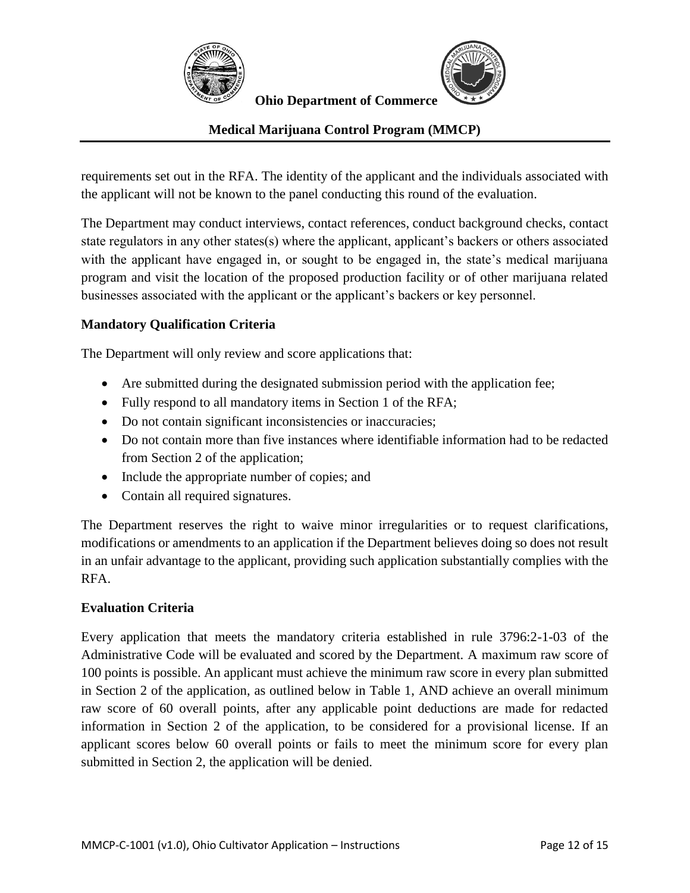



#### **Medical Marijuana Control Program (MMCP)**

requirements set out in the RFA. The identity of the applicant and the individuals associated with the applicant will not be known to the panel conducting this round of the evaluation.

The Department may conduct interviews, contact references, conduct background checks, contact state regulators in any other states(s) where the applicant, applicant's backers or others associated with the applicant have engaged in, or sought to be engaged in, the state's medical marijuana program and visit the location of the proposed production facility or of other marijuana related businesses associated with the applicant or the applicant's backers or key personnel.

#### **Mandatory Qualification Criteria**

The Department will only review and score applications that:

- Are submitted during the designated submission period with the application fee;
- Fully respond to all mandatory items in Section 1 of the RFA;
- Do not contain significant inconsistencies or inaccuracies;
- Do not contain more than five instances where identifiable information had to be redacted from Section 2 of the application;
- Include the appropriate number of copies; and
- Contain all required signatures.

The Department reserves the right to waive minor irregularities or to request clarifications, modifications or amendments to an application if the Department believes doing so does not result in an unfair advantage to the applicant, providing such application substantially complies with the RFA.

#### **Evaluation Criteria**

Every application that meets the mandatory criteria established in rule 3796:2-1-03 of the Administrative Code will be evaluated and scored by the Department. A maximum raw score of 100 points is possible. An applicant must achieve the minimum raw score in every plan submitted in Section 2 of the application, as outlined below in Table 1, AND achieve an overall minimum raw score of 60 overall points, after any applicable point deductions are made for redacted information in Section 2 of the application, to be considered for a provisional license. If an applicant scores below 60 overall points or fails to meet the minimum score for every plan submitted in Section 2, the application will be denied.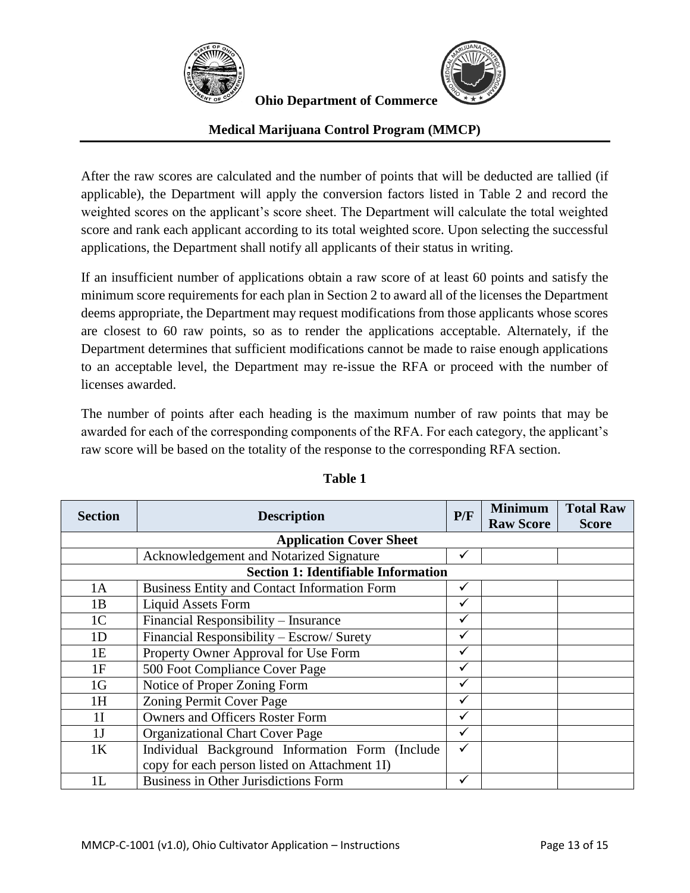



## **Medical Marijuana Control Program (MMCP)**

After the raw scores are calculated and the number of points that will be deducted are tallied (if applicable), the Department will apply the conversion factors listed in Table 2 and record the weighted scores on the applicant's score sheet. The Department will calculate the total weighted score and rank each applicant according to its total weighted score. Upon selecting the successful applications, the Department shall notify all applicants of their status in writing.

If an insufficient number of applications obtain a raw score of at least 60 points and satisfy the minimum score requirements for each plan in Section 2 to award all of the licenses the Department deems appropriate, the Department may request modifications from those applicants whose scores are closest to 60 raw points, so as to render the applications acceptable. Alternately, if the Department determines that sufficient modifications cannot be made to raise enough applications to an acceptable level, the Department may re-issue the RFA or proceed with the number of licenses awarded.

The number of points after each heading is the maximum number of raw points that may be awarded for each of the corresponding components of the RFA. For each category, the applicant's raw score will be based on the totality of the response to the corresponding RFA section.

| <b>Section</b>                             | <b>Description</b>                                  | P/F          | <b>Minimum</b><br><b>Raw Score</b> | <b>Total Raw</b><br><b>Score</b> |  |  |  |  |
|--------------------------------------------|-----------------------------------------------------|--------------|------------------------------------|----------------------------------|--|--|--|--|
| <b>Application Cover Sheet</b>             |                                                     |              |                                    |                                  |  |  |  |  |
|                                            | Acknowledgement and Notarized Signature             | ✓            |                                    |                                  |  |  |  |  |
| <b>Section 1: Identifiable Information</b> |                                                     |              |                                    |                                  |  |  |  |  |
| 1A                                         | <b>Business Entity and Contact Information Form</b> | ✓            |                                    |                                  |  |  |  |  |
| 1B                                         | <b>Liquid Assets Form</b>                           | $\checkmark$ |                                    |                                  |  |  |  |  |
| 1 <sup>C</sup>                             | Financial Responsibility - Insurance                | $\checkmark$ |                                    |                                  |  |  |  |  |
| 1 <sub>D</sub>                             | Financial Responsibility – Escrow/ Surety           | ✓            |                                    |                                  |  |  |  |  |
| 1E                                         | Property Owner Approval for Use Form                | ✓            |                                    |                                  |  |  |  |  |
| 1F                                         | 500 Foot Compliance Cover Page                      |              |                                    |                                  |  |  |  |  |
| 1 <sub>G</sub>                             | Notice of Proper Zoning Form                        | ✓            |                                    |                                  |  |  |  |  |
| 1H                                         | Zoning Permit Cover Page                            |              |                                    |                                  |  |  |  |  |
| 1 <sub>I</sub>                             | <b>Owners and Officers Roster Form</b>              | $\checkmark$ |                                    |                                  |  |  |  |  |
| 1 <sub>J</sub>                             | <b>Organizational Chart Cover Page</b>              | $\checkmark$ |                                    |                                  |  |  |  |  |
| 1K                                         | Individual Background Information Form (Include     | $\checkmark$ |                                    |                                  |  |  |  |  |
|                                            | copy for each person listed on Attachment 1I)       |              |                                    |                                  |  |  |  |  |
| 1L                                         | <b>Business in Other Jurisdictions Form</b>         | $\checkmark$ |                                    |                                  |  |  |  |  |

#### **Table 1**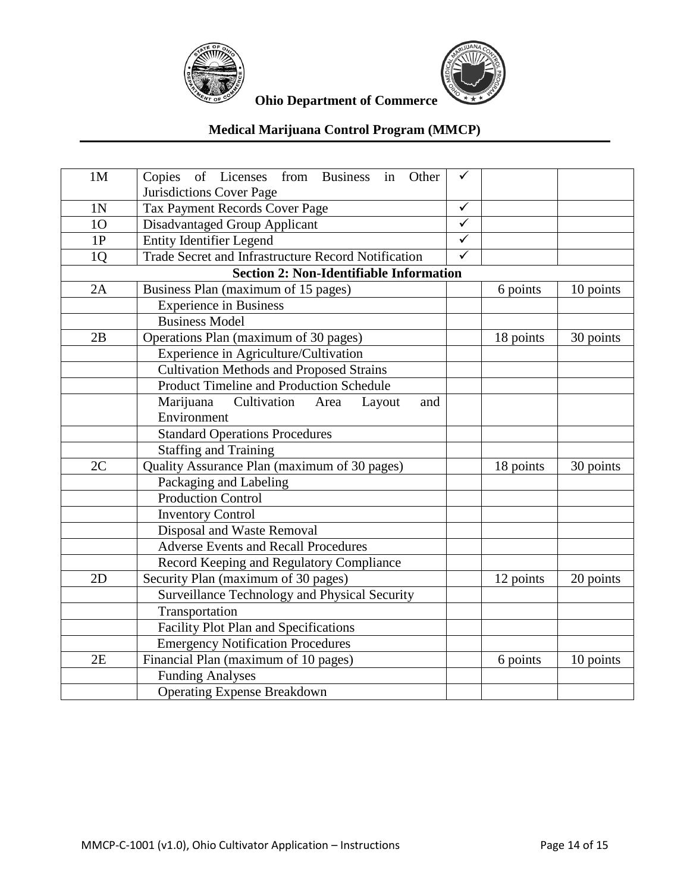



# **Medical Marijuana Control Program (MMCP)**

| 1 <sub>M</sub>                                 | Copies of Licenses from Business in<br>Other<br>Jurisdictions Cover Page | ✓                       |           |           |  |  |  |
|------------------------------------------------|--------------------------------------------------------------------------|-------------------------|-----------|-----------|--|--|--|
| 1N                                             | Tax Payment Records Cover Page                                           | $\checkmark$            |           |           |  |  |  |
| 10                                             | <b>Disadvantaged Group Applicant</b>                                     | $\overline{\checkmark}$ |           |           |  |  |  |
| 1P                                             | <b>Entity Identifier Legend</b>                                          | $\checkmark$            |           |           |  |  |  |
| 1 <sub>Q</sub>                                 | Trade Secret and Infrastructure Record Notification                      | $\overline{\checkmark}$ |           |           |  |  |  |
| <b>Section 2: Non-Identifiable Information</b> |                                                                          |                         |           |           |  |  |  |
| 2A                                             | Business Plan (maximum of 15 pages)                                      |                         | 6 points  | 10 points |  |  |  |
|                                                | <b>Experience in Business</b>                                            |                         |           |           |  |  |  |
|                                                | <b>Business Model</b>                                                    |                         |           |           |  |  |  |
| 2B                                             | Operations Plan (maximum of 30 pages)                                    |                         | 18 points | 30 points |  |  |  |
|                                                | Experience in Agriculture/Cultivation                                    |                         |           |           |  |  |  |
|                                                | <b>Cultivation Methods and Proposed Strains</b>                          |                         |           |           |  |  |  |
|                                                | Product Timeline and Production Schedule                                 |                         |           |           |  |  |  |
|                                                | Cultivation<br>Marijuana<br>Area<br>Layout<br>and                        |                         |           |           |  |  |  |
|                                                | Environment                                                              |                         |           |           |  |  |  |
|                                                | <b>Standard Operations Procedures</b>                                    |                         |           |           |  |  |  |
|                                                | <b>Staffing and Training</b>                                             |                         |           |           |  |  |  |
| 2C                                             | Quality Assurance Plan (maximum of 30 pages)                             |                         | 18 points | 30 points |  |  |  |
|                                                | Packaging and Labeling                                                   |                         |           |           |  |  |  |
|                                                | <b>Production Control</b>                                                |                         |           |           |  |  |  |
|                                                | <b>Inventory Control</b>                                                 |                         |           |           |  |  |  |
|                                                | Disposal and Waste Removal                                               |                         |           |           |  |  |  |
|                                                | <b>Adverse Events and Recall Procedures</b>                              |                         |           |           |  |  |  |
|                                                | Record Keeping and Regulatory Compliance                                 |                         |           |           |  |  |  |
| 2D                                             | Security Plan (maximum of 30 pages)                                      |                         | 12 points | 20 points |  |  |  |
|                                                | Surveillance Technology and Physical Security                            |                         |           |           |  |  |  |
|                                                | Transportation                                                           |                         |           |           |  |  |  |
|                                                | Facility Plot Plan and Specifications                                    |                         |           |           |  |  |  |
|                                                | <b>Emergency Notification Procedures</b>                                 |                         |           |           |  |  |  |
| 2E                                             | Financial Plan (maximum of 10 pages)                                     |                         | 6 points  | 10 points |  |  |  |
|                                                | <b>Funding Analyses</b>                                                  |                         |           |           |  |  |  |
|                                                | <b>Operating Expense Breakdown</b>                                       |                         |           |           |  |  |  |